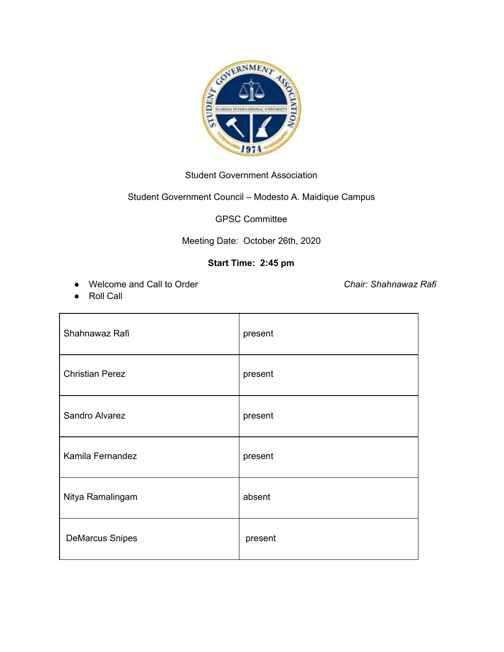

## Student Government Association

## Student Government Council – Modesto A. Maidique Campus

GPSC Committee

## Meeting Date: October 26th, 2020

## **Start Time: 2:45 pm**

● Welcome and Call to Order *Chair: Shahnawaz Rafi*

● Roll Call

| Shahnawaz Rafi         | present |
|------------------------|---------|
| <b>Christian Perez</b> | present |
| Sandro Alvarez         | present |
| Kamila Fernandez       | present |
| Nitya Ramalingam       | absent  |
| <b>DeMarcus Snipes</b> | present |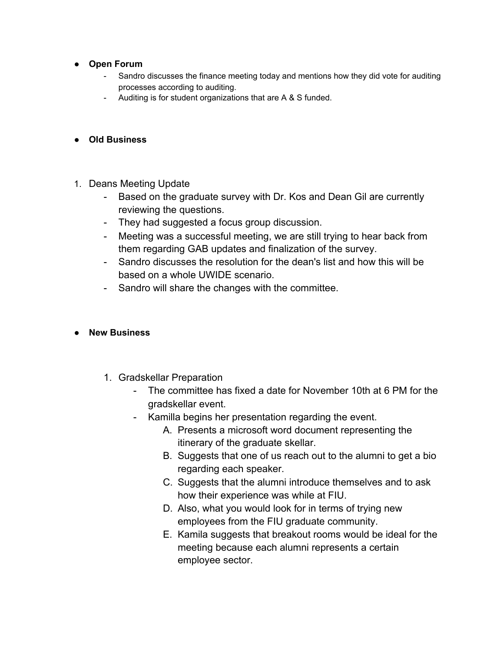- **● Open Forum**
	- Sandro discusses the finance meeting today and mentions how they did vote for auditing processes according to auditing.
	- Auditing is for student organizations that are A & S funded.
- **● Old Business**
- 1. Deans Meeting Update
	- Based on the graduate survey with Dr. Kos and Dean Gil are currently reviewing the questions.
	- They had suggested a focus group discussion.
	- Meeting was a successful meeting, we are still trying to hear back from them regarding GAB updates and finalization of the survey.
	- Sandro discusses the resolution for the dean's list and how this will be based on a whole UWIDE scenario.
	- Sandro will share the changes with the committee.
- **● New Business**
	- 1. Gradskellar Preparation
		- The committee has fixed a date for November 10th at 6 PM for the gradskellar event.
		- Kamilla begins her presentation regarding the event.
			- A. Presents a microsoft word document representing the itinerary of the graduate skellar.
			- B. Suggests that one of us reach out to the alumni to get a bio regarding each speaker.
			- C. Suggests that the alumni introduce themselves and to ask how their experience was while at FIU.
			- D. Also, what you would look for in terms of trying new employees from the FIU graduate community.
			- E. Kamila suggests that breakout rooms would be ideal for the meeting because each alumni represents a certain employee sector.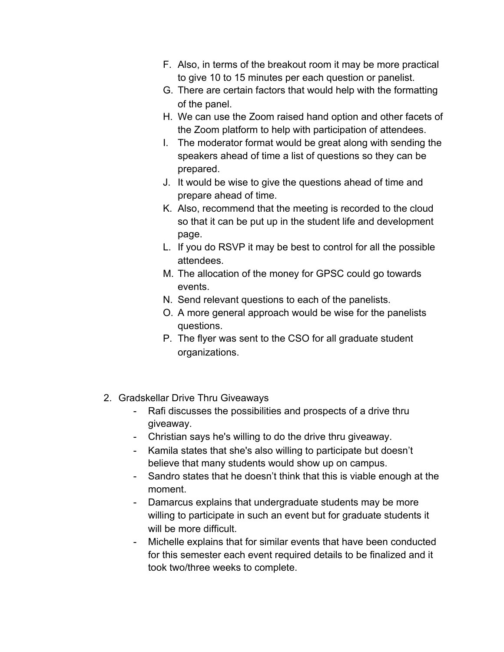- F. Also, in terms of the breakout room it may be more practical to give 10 to 15 minutes per each question or panelist.
- G. There are certain factors that would help with the formatting of the panel.
- H. We can use the Zoom raised hand option and other facets of the Zoom platform to help with participation of attendees.
- I. The moderator format would be great along with sending the speakers ahead of time a list of questions so they can be prepared.
- J. It would be wise to give the questions ahead of time and prepare ahead of time.
- K. Also, recommend that the meeting is recorded to the cloud so that it can be put up in the student life and development page.
- L. If you do RSVP it may be best to control for all the possible attendees.
- M. The allocation of the money for GPSC could go towards events.
- N. Send relevant questions to each of the panelists.
- O. A more general approach would be wise for the panelists questions.
- P. The flyer was sent to the CSO for all graduate student organizations.
- 2. Gradskellar Drive Thru Giveaways
	- Rafi discusses the possibilities and prospects of a drive thru giveaway.
	- Christian says he's willing to do the drive thru giveaway.
	- Kamila states that she's also willing to participate but doesn't believe that many students would show up on campus.
	- Sandro states that he doesn't think that this is viable enough at the moment.
	- Damarcus explains that undergraduate students may be more willing to participate in such an event but for graduate students it will be more difficult.
	- Michelle explains that for similar events that have been conducted for this semester each event required details to be finalized and it took two/three weeks to complete.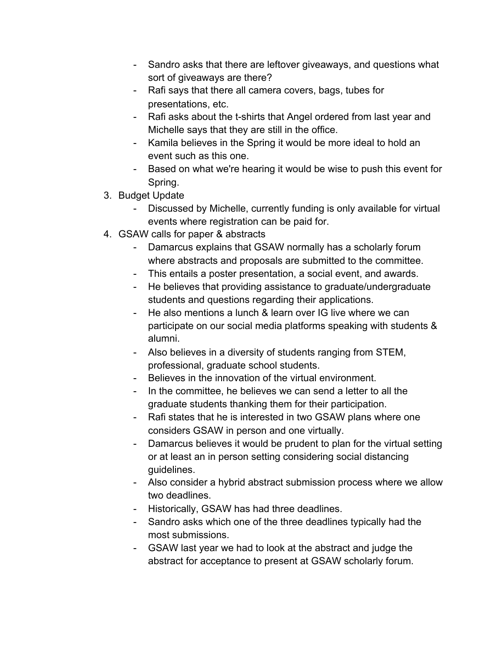- Sandro asks that there are leftover giveaways, and questions what sort of giveaways are there?
- Rafi says that there all camera covers, bags, tubes for presentations, etc.
- Rafi asks about the t-shirts that Angel ordered from last year and Michelle says that they are still in the office.
- Kamila believes in the Spring it would be more ideal to hold an event such as this one.
- Based on what we're hearing it would be wise to push this event for Spring.
- 3. Budget Update
	- Discussed by Michelle, currently funding is only available for virtual events where registration can be paid for.
- 4. GSAW calls for paper & abstracts
	- Damarcus explains that GSAW normally has a scholarly forum where abstracts and proposals are submitted to the committee.
	- This entails a poster presentation, a social event, and awards.
	- He believes that providing assistance to graduate/undergraduate students and questions regarding their applications.
	- He also mentions a lunch & learn over IG live where we can participate on our social media platforms speaking with students & alumni.
	- Also believes in a diversity of students ranging from STEM, professional, graduate school students.
	- Believes in the innovation of the virtual environment.
	- In the committee, he believes we can send a letter to all the graduate students thanking them for their participation.
	- Rafi states that he is interested in two GSAW plans where one considers GSAW in person and one virtually.
	- Damarcus believes it would be prudent to plan for the virtual setting or at least an in person setting considering social distancing guidelines.
	- Also consider a hybrid abstract submission process where we allow two deadlines.
	- Historically, GSAW has had three deadlines.
	- Sandro asks which one of the three deadlines typically had the most submissions.
	- GSAW last year we had to look at the abstract and judge the abstract for acceptance to present at GSAW scholarly forum.